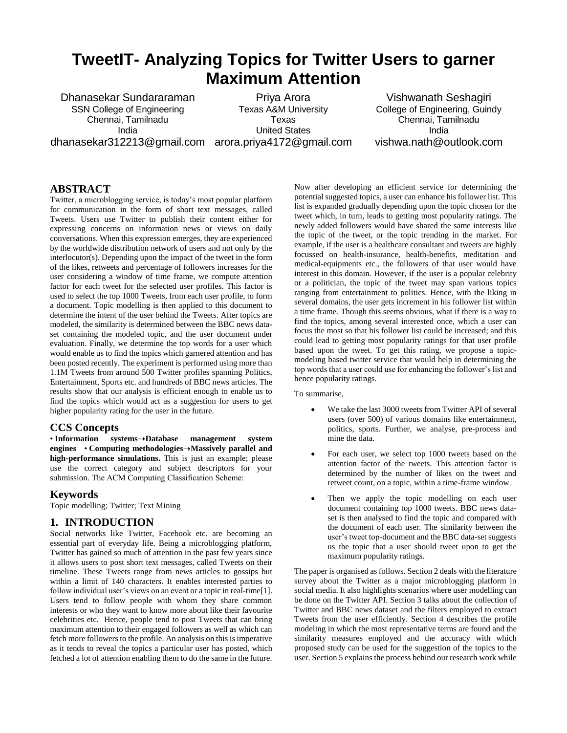# **TweetIT- Analyzing Topics for Twitter Users to garner Maximum Attention**

Dhanasekar Sundararaman SSN College of Engineering Chennai, Tamilnadu India dhanasekar312213@gmail.com arora.priya4172@gmail.com

Priya Arora Texas A&M University Texas United States

Vishwanath Seshagiri College of Engineering, Guindy Chennai, Tamilnadu India vishwa.nath@outlook.com

#### **ABSTRACT**

Twitter, a microblogging service, is today's most popular platform for communication in the form of short text messages, called Tweets. Users use Twitter to publish their content either for expressing concerns on information news or views on daily conversations. When this expression emerges, they are experienced by the worldwide distribution network of users and not only by the interlocutor(s). Depending upon the impact of the tweet in the form of the likes, retweets and percentage of followers increases for the user considering a window of time frame, we compute attention factor for each tweet for the selected user profiles. This factor is used to select the top 1000 Tweets, from each user profile, to form a document. Topic modelling is then applied to this document to determine the intent of the user behind the Tweets. After topics are modeled, the similarity is determined between the BBC news dataset containing the modeled topic, and the user document under evaluation. Finally, we determine the top words for a user which would enable us to find the topics which garnered attention and has been posted recently. The experiment is performed using more than 1.1M Tweets from around 500 Twitter profiles spanning Politics, Entertainment, Sports etc. and hundreds of BBC news articles. The results show that our analysis is efficient enough to enable us to find the topics which would act as a suggestion for users to get higher popularity rating for the user in the future.

#### **CCS Concepts**

• **Information systems**➝**Database management system engines** • **Computing methodologies**➝**Massively parallel and high-performance simulations.** This is just an example; please use the correct category and subject descriptors for your submission*.* The ACM Computing Classification Scheme:

#### **Keywords**

Topic modelling; Twitter; Text Mining

#### **1. INTRODUCTION**

Social networks like Twitter, Facebook etc. are becoming an essential part of everyday life. Being a microblogging platform, Twitter has gained so much of attention in the past few years since it allows users to post short text messages, called Tweets on their timeline. These Tweets range from news articles to gossips but within a limit of 140 characters. It enables interested parties to follow individual user's views on an event or a topic in real-time[1]. Users tend to follow people with whom they share common interests or who they want to know more about like their favourite celebrities etc. Hence, people tend to post Tweets that can bring maximum attention to their engaged followers as well as which can fetch more followers to the profile. An analysis on this is imperative as it tends to reveal the topics a particular user has posted, which fetched a lot of attention enabling them to do the same in the future.

Now after developing an efficient service for determining the potential suggested topics, a user can enhance his follower list. This list is expanded gradually depending upon the topic chosen for the tweet which, in turn, leads to getting most popularity ratings. The newly added followers would have shared the same interests like the topic of the tweet, or the topic trending in the market. For example, if the user is a healthcare consultant and tweets are highly focussed on health-insurance, health-benefits, meditation and medical-equipments etc., the followers of that user would have interest in this domain. However, if the user is a popular celebrity or a politician, the topic of the tweet may span various topics ranging from entertainment to politics. Hence, with the liking in several domains, the user gets increment in his follower list within a time frame. Though this seems obvious, what if there is a way to find the topics, among several interested once, which a user can focus the most so that his follower list could be increased; and this could lead to getting most popularity ratings for that user profile based upon the tweet. To get this rating, we propose a topicmodeling based twitter service that would help in determining the top words that a user could use for enhancing the follower's list and hence popularity ratings.

To summarise,

- We take the last 3000 tweets from Twitter API of several users (over 500) of various domains like entertainment, politics, sports. Further, we analyse, pre-process and mine the data.
- For each user, we select top 1000 tweets based on the attention factor of the tweets. This attention factor is determined by the number of likes on the tweet and retweet count, on a topic, within a time-frame window.
- Then we apply the topic modelling on each user document containing top 1000 tweets. BBC news dataset is then analysed to find the topic and compared with the document of each user. The similarity between the user's tweet top-document and the BBC data-set suggests us the topic that a user should tweet upon to get the maximum popularity ratings.

The paper is organised as follows. Section 2 deals with the literature survey about the Twitter as a major microblogging platform in social media. It also highlights scenarios where user modelling can be done on the Twitter API. Section 3 talks about the collection of Twitter and BBC news dataset and the filters employed to extract Tweets from the user efficiently. Section 4 describes the profile modeling in which the most representative terms are found and the similarity measures employed and the accuracy with which proposed study can be used for the suggestion of the topics to the user. Section 5 explains the process behind our research work while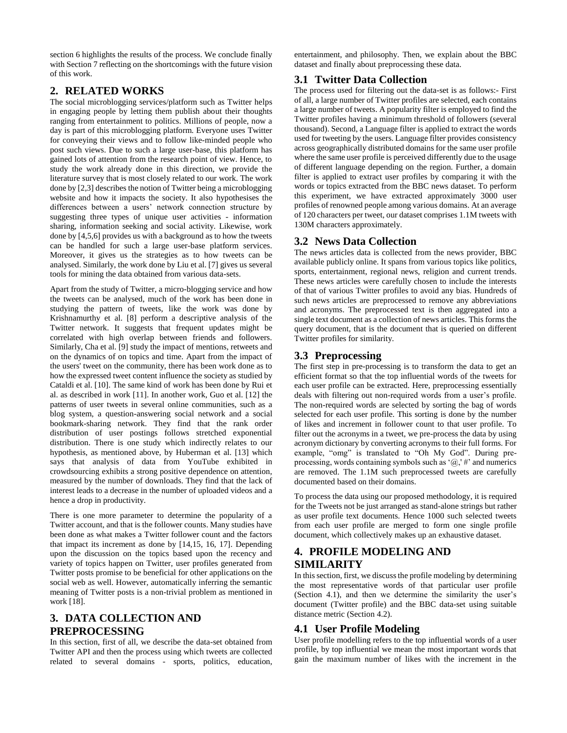section 6 highlights the results of the process. We conclude finally with Section 7 reflecting on the shortcomings with the future vision of this work.

### **2. RELATED WORKS**

The social microblogging services/platform such as Twitter helps in engaging people by letting them publish about their thoughts ranging from entertainment to politics. Millions of people, now a day is part of this microblogging platform. Everyone uses Twitter for conveying their views and to follow like-minded people who post such views. Due to such a large user-base, this platform has gained lots of attention from the research point of view. Hence, to study the work already done in this direction, we provide the literature survey that is most closely related to our work. The work done by [2,3] describes the notion of Twitter being a microblogging website and how it impacts the society. It also hypothesises the differences between a users' network connection structure by suggesting three types of unique user activities - information sharing, information seeking and social activity. Likewise, work done by [4,5,6] provides us with a background as to how the tweets can be handled for such a large user-base platform services. Moreover, it gives us the strategies as to how tweets can be analysed. Similarly, the work done by Liu et al. [7] gives us several tools for mining the data obtained from various data-sets.

Apart from the study of Twitter, a micro-blogging service and how the tweets can be analysed, much of the work has been done in studying the pattern of tweets, like the work was done by Krishnamurthy et al. [8] perform a descriptive analysis of the Twitter network. It suggests that frequent updates might be correlated with high overlap between friends and followers. Similarly, Cha et al. [9] study the impact of mentions, retweets and on the dynamics of on topics and time. Apart from the impact of the users' tweet on the community, there has been work done as to how the expressed tweet content influence the society as studied by Cataldi et al. [10]. The same kind of work has been done by Rui et al. as described in work [11]. In another work, Guo et al. [12] the patterns of user tweets in several online communities, such as a blog system, a question-answering social network and a social bookmark-sharing network. They find that the rank order distribution of user postings follows stretched exponential distribution. There is one study which indirectly relates to our hypothesis, as mentioned above, by Huberman et al. [13] which says that analysis of data from YouTube exhibited in crowdsourcing exhibits a strong positive dependence on attention, measured by the number of downloads. They find that the lack of interest leads to a decrease in the number of uploaded videos and a hence a drop in productivity.

There is one more parameter to determine the popularity of a Twitter account, and that is the follower counts. Many studies have been done as what makes a Twitter follower count and the factors that impact its increment as done by [14,15, 16, 17]. Depending upon the discussion on the topics based upon the recency and variety of topics happen on Twitter, user profiles generated from Twitter posts promise to be beneficial for other applications on the social web as well. However, automatically inferring the semantic meaning of Twitter posts is a non-trivial problem as mentioned in work [18].

# **3. DATA COLLECTION AND PREPROCESSING**

In this section, first of all, we describe the data-set obtained from Twitter API and then the process using which tweets are collected related to several domains - sports, politics, education,

entertainment, and philosophy. Then, we explain about the BBC dataset and finally about preprocessing these data.

### **3.1 Twitter Data Collection**

The process used for filtering out the data-set is as follows:- First of all, a large number of Twitter profiles are selected, each contains a large number of tweets. A popularity filter is employed to find the Twitter profiles having a minimum threshold of followers (several thousand). Second, a Language filter is applied to extract the words used for tweeting by the users. Language filter provides consistency across geographically distributed domains for the same user profile where the same user profile is perceived differently due to the usage of different language depending on the region. Further, a domain filter is applied to extract user profiles by comparing it with the words or topics extracted from the BBC news dataset. To perform this experiment, we have extracted approximately 3000 user profiles of renowned people among various domains. At an average of 120 characters per tweet, our dataset comprises 1.1M tweets with 130M characters approximately.

### **3.2 News Data Collection**

The news articles data is collected from the news provider, BBC available publicly online. It spans from various topics like politics, sports, entertainment, regional news, religion and current trends. These news articles were carefully chosen to include the interests of that of various Twitter profiles to avoid any bias. Hundreds of such news articles are preprocessed to remove any abbreviations and acronyms. The preprocessed text is then aggregated into a single text document as a collection of news articles. This forms the query document, that is the document that is queried on different Twitter profiles for similarity.

### **3.3 Preprocessing**

The first step in pre-processing is to transform the data to get an efficient format so that the top influential words of the tweets for each user profile can be extracted. Here, preprocessing essentially deals with filtering out non-required words from a user's profile. The non-required words are selected by sorting the bag of words selected for each user profile. This sorting is done by the number of likes and increment in follower count to that user profile. To filter out the acronyms in a tweet, we pre-process the data by using acronym dictionary by converting acronyms to their full forms. For example, "omg" is translated to "Oh My God". During preprocessing, words containing symbols such as ' $\omega$ ,' #' and numerics are removed. The 1.1M such preprocessed tweets are carefully documented based on their domains.

To process the data using our proposed methodology, it is required for the Tweets not be just arranged as stand-alone strings but rather as user profile text documents. Hence 1000 such selected tweets from each user profile are merged to form one single profile document, which collectively makes up an exhaustive dataset.

## **4. PROFILE MODELING AND SIMILARITY**

In this section, first, we discuss the profile modeling by determining the most representative words of that particular user profile (Section 4.1), and then we determine the similarity the user's document (Twitter profile) and the BBC data-set using suitable distance metric (Section 4.2).

## **4.1 User Profile Modeling**

User profile modelling refers to the top influential words of a user profile, by top influential we mean the most important words that gain the maximum number of likes with the increment in the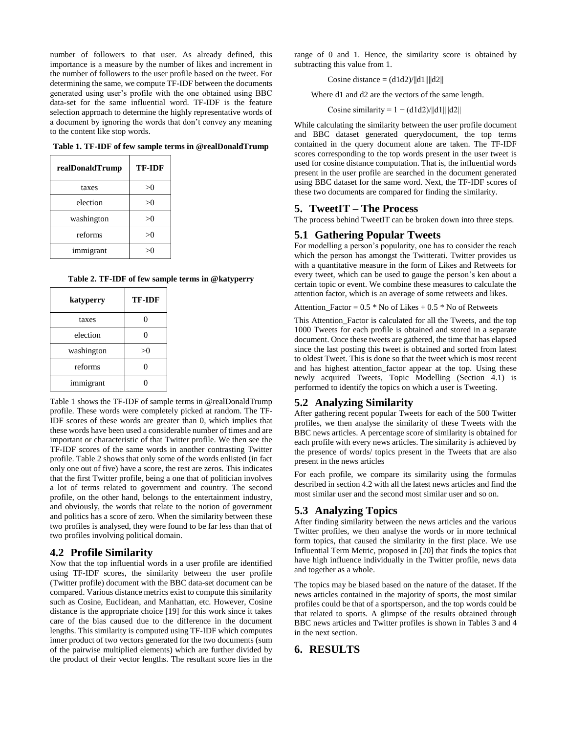number of followers to that user. As already defined, this importance is a measure by the number of likes and increment in the number of followers to the user profile based on the tweet. For determining the same, we compute TF-IDF between the documents generated using user's profile with the one obtained using BBC data-set for the same influential word. TF-IDF is the feature selection approach to determine the highly representative words of a document by ignoring the words that don't convey any meaning to the content like stop words.

**Table 1. TF-IDF of few sample terms in @realDonaldTrump**

| realDonaldTrump | <b>TF-IDF</b> |
|-----------------|---------------|
| taxes           | >0            |
| election        | >0            |
| washington      | >0            |
| reforms         | >0            |
| immigrant       |               |

**Table 2. TF-IDF of few sample terms in @katyperry**

| katyperry  | <b>TF-IDF</b> |
|------------|---------------|
| taxes      |               |
| election   |               |
| washington | >0            |
| reforms    |               |
| immigrant  |               |

Table 1 shows the TF-IDF of sample terms in @realDonaldTrump profile. These words were completely picked at random. The TF-IDF scores of these words are greater than 0, which implies that these words have been used a considerable number of times and are important or characteristic of that Twitter profile. We then see the TF-IDF scores of the same words in another contrasting Twitter profile. Table 2 shows that only some of the words enlisted (in fact only one out of five) have a score, the rest are zeros. This indicates that the first Twitter profile, being a one that of politician involves a lot of terms related to government and country. The second profile, on the other hand, belongs to the entertainment industry, and obviously, the words that relate to the notion of government and politics has a score of zero. When the similarity between these two profiles is analysed, they were found to be far less than that of two profiles involving political domain.

#### **4.2 Profile Similarity**

Now that the top influential words in a user profile are identified using TF-IDF scores, the similarity between the user profile (Twitter profile) document with the BBC data-set document can be compared. Various distance metrics exist to compute this similarity such as Cosine, Euclidean, and Manhattan, etc. However, Cosine distance is the appropriate choice [19] for this work since it takes care of the bias caused due to the difference in the document lengths. This similarity is computed using TF-IDF which computes inner product of two vectors generated for the two documents (sum of the pairwise multiplied elements) which are further divided by the product of their vector lengths. The resultant score lies in the

range of 0 and 1. Hence, the similarity score is obtained by subtracting this value from 1.

Cosine distance =  $(d1d2)/||d1|| ||d2||$ 

Where d1 and d2 are the vectors of the same length.

Cosine similarity =  $1 - (d1d2)/||d1|| ||d2||$ 

While calculating the similarity between the user profile document and BBC dataset generated querydocument, the top terms contained in the query document alone are taken. The TF-IDF scores corresponding to the top words present in the user tweet is used for cosine distance computation. That is, the influential words present in the user profile are searched in the document generated using BBC dataset for the same word. Next, the TF-IDF scores of these two documents are compared for finding the similarity.

#### **5. TweetIT – The Process**

The process behind TweetIT can be broken down into three steps.

#### **5.1 Gathering Popular Tweets**

For modelling a person's popularity, one has to consider the reach which the person has amongst the Twitterati. Twitter provides us with a quantitative measure in the form of Likes and Retweets for every tweet, which can be used to gauge the person's ken about a certain topic or event. We combine these measures to calculate the attention factor, which is an average of some retweets and likes.

Attention Factor =  $0.5 *$  No of Likes + 0.5  $*$  No of Retweets

This Attention\_Factor is calculated for all the Tweets, and the top 1000 Tweets for each profile is obtained and stored in a separate document. Once these tweets are gathered, the time that has elapsed since the last posting this tweet is obtained and sorted from latest to oldest Tweet. This is done so that the tweet which is most recent and has highest attention\_factor appear at the top. Using these newly acquired Tweets, Topic Modelling (Section 4.1) is performed to identify the topics on which a user is Tweeting.

#### **5.2 Analyzing Similarity**

After gathering recent popular Tweets for each of the 500 Twitter profiles, we then analyse the similarity of these Tweets with the BBC news articles. A percentage score of similarity is obtained for each profile with every news articles. The similarity is achieved by the presence of words/ topics present in the Tweets that are also present in the news articles

For each profile, we compare its similarity using the formulas described in section 4.2 with all the latest news articles and find the most similar user and the second most similar user and so on.

#### **5.3 Analyzing Topics**

After finding similarity between the news articles and the various Twitter profiles, we then analyse the words or in more technical form topics, that caused the similarity in the first place. We use Influential Term Metric, proposed in [20] that finds the topics that have high influence individually in the Twitter profile, news data and together as a whole.

The topics may be biased based on the nature of the dataset. If the news articles contained in the majority of sports, the most similar profiles could be that of a sportsperson, and the top words could be that related to sports. A glimpse of the results obtained through BBC news articles and Twitter profiles is shown in Tables 3 and 4 in the next section.

#### **6. RESULTS**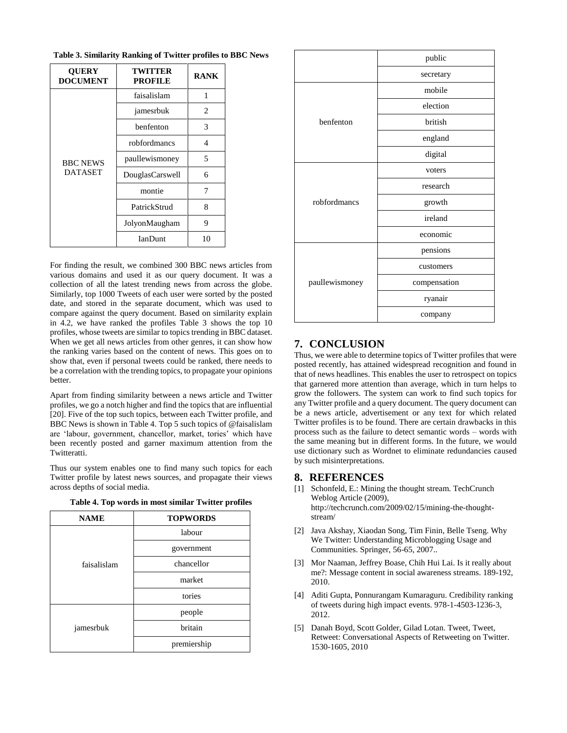| <b>QUERY</b><br><b>DOCUMENT</b>   | TWITTER<br><b>PROFILE</b> | <b>RANK</b> |
|-----------------------------------|---------------------------|-------------|
| <b>BBC NEWS</b><br><b>DATASET</b> | faisalislam               | 1           |
|                                   | jamesrbuk                 | 2           |
|                                   | benfenton                 | 3           |
|                                   | robfordmancs              | 4           |
|                                   | paullewismoney            | 5           |
|                                   | DouglasCarswell           | 6           |
|                                   | montie                    | 7           |
|                                   | PatrickStrud              | 8           |
|                                   | JolyonMaugham             | 9           |
|                                   | <b>IanDunt</b>            | 10          |

**Table 3. Similarity Ranking of Twitter profiles to BBC News**

For finding the result, we combined 300 BBC news articles from various domains and used it as our query document. It was a collection of all the latest trending news from across the globe. Similarly, top 1000 Tweets of each user were sorted by the posted date, and stored in the separate document, which was used to compare against the query document. Based on similarity explain in 4.2, we have ranked the profiles Table 3 shows the top 10 profiles, whose tweets are similar to topics trending in BBC dataset. When we get all news articles from other genres, it can show how the ranking varies based on the content of news. This goes on to show that, even if personal tweets could be ranked, there needs to be a correlation with the trending topics, to propagate your opinions better.

Apart from finding similarity between a news article and Twitter profiles, we go a notch higher and find the topics that are influential [20]. Five of the top such topics, between each Twitter profile, and BBC News is shown in Table 4. Top 5 such topics of @faisalislam are 'labour, government, chancellor, market, tories' which have been recently posted and garner maximum attention from the Twitteratti.

Thus our system enables one to find many such topics for each Twitter profile by latest news sources, and propagate their views across depths of social media.

|  |  |  |  | Table 4. Top words in most similar Twitter profiles |
|--|--|--|--|-----------------------------------------------------|
|  |  |  |  |                                                     |

| <b>NAME</b> | <b>TOPWORDS</b> |  |
|-------------|-----------------|--|
| faisalislam | labour          |  |
|             | government      |  |
|             | chancellor      |  |
|             | market          |  |
|             | tories          |  |
|             | people          |  |
| jamesrbuk   | britain         |  |
|             | premiership     |  |

|                | public       |  |
|----------------|--------------|--|
|                | secretary    |  |
|                | mobile       |  |
|                | election     |  |
| henfenton      | british      |  |
|                | england      |  |
|                | digital      |  |
| robfordmancs   | voters       |  |
|                | research     |  |
|                | growth       |  |
|                | ireland      |  |
|                | economic     |  |
| paullewismoney | pensions     |  |
|                | customers    |  |
|                | compensation |  |
|                | ryanair      |  |
|                | company      |  |

## **7. CONCLUSION**

Thus, we were able to determine topics of Twitter profiles that were posted recently, has attained widespread recognition and found in that of news headlines. This enables the user to retrospect on topics that garnered more attention than average, which in turn helps to grow the followers. The system can work to find such topics for any Twitter profile and a query document. The query document can be a news article, advertisement or any text for which related Twitter profiles is to be found. There are certain drawbacks in this process such as the failure to detect semantic words – words with the same meaning but in different forms. In the future, we would use dictionary such as Wordnet to eliminate redundancies caused by such misinterpretations.

#### **8. REFERENCES**

- [1] Schonfeld, E.: Mining the thought stream. TechCrunch Weblog Article (2009), http://techcrunch.com/2009/02/15/mining-the-thoughtstream/
- [2] Java Akshay, Xiaodan Song, Tim Finin, Belle Tseng. Why We Twitter: Understanding Microblogging Usage and Communities. Springer, 56-65, 2007..
- [3] Mor Naaman, Jeffrey Boase, Chih Hui Lai. Is it really about me?: Message content in social awareness streams. 189-192, 2010.
- [4] Aditi Gupta, Ponnurangam Kumaraguru. Credibility ranking of tweets during high impact events. 978-1-4503-1236-3, 2012.
- [5] Danah Boyd, Scott Golder, Gilad Lotan. Tweet, Tweet, Retweet: Conversational Aspects of Retweeting on Twitter. 1530-1605, 2010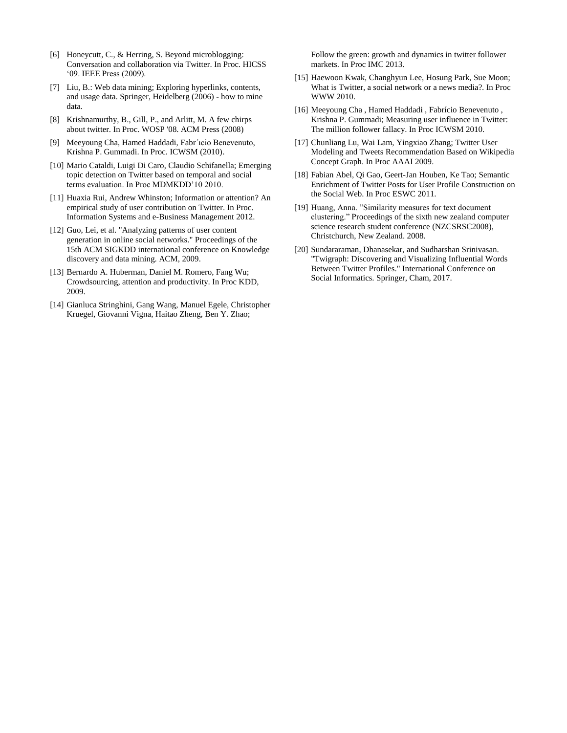- [6] Honeycutt, C., & Herring, S. Beyond microblogging: Conversation and collaboration via Twitter. In Proc. HICSS '09. IEEE Press (2009).
- [7] Liu, B.: Web data mining; Exploring hyperlinks, contents, and usage data. Springer, Heidelberg (2006) - how to mine data.
- [8] Krishnamurthy, B., Gill, P., and Arlitt, M. A few chirps about twitter. In Proc. WOSP '08. ACM Press (2008)
- [9] Meeyoung Cha, Hamed Haddadi, Fabr´ıcio Benevenuto, Krishna P. Gummadi. In Proc. ICWSM (2010).
- [10] Mario Cataldi, Luigi Di Caro, Claudio Schifanella; Emerging topic detection on Twitter based on temporal and social terms evaluation. In Proc MDMKDD'10 2010.
- [11] Huaxia Rui, Andrew Whinston; Information or attention? An empirical study of user contribution on Twitter. In Proc. Information Systems and e-Business Management 2012.
- [12] Guo, Lei, et al. "Analyzing patterns of user content generation in online social networks." Proceedings of the 15th ACM SIGKDD international conference on Knowledge discovery and data mining. ACM, 2009.
- [13] Bernardo A. Huberman, Daniel M. Romero, Fang Wu; Crowdsourcing, attention and productivity. In Proc KDD, 2009.
- [14] Gianluca Stringhini, Gang Wang, Manuel Egele, Christopher Kruegel, Giovanni Vigna, Haitao Zheng, Ben Y. Zhao;

Follow the green: growth and dynamics in twitter follower markets. In Proc IMC 2013.

- [15] Haewoon Kwak, Changhyun Lee, Hosung Park, Sue Moon; What is Twitter, a social network or a news media?. In Proc WWW 2010.
- [16] Meeyoung Cha , Hamed Haddadi , Fabrício Benevenuto , Krishna P. Gummadi; Measuring user influence in Twitter: The million follower fallacy. In Proc ICWSM 2010.
- [17] Chunliang Lu, Wai Lam, Yingxiao Zhang; Twitter User Modeling and Tweets Recommendation Based on Wikipedia Concept Graph. In Proc AAAI 2009.
- [18] Fabian Abel, Qi Gao, Geert-Jan Houben, Ke Tao; Semantic Enrichment of Twitter Posts for User Profile Construction on the Social Web. In Proc ESWC 2011.
- [19] Huang, Anna. "Similarity measures for text document clustering." Proceedings of the sixth new zealand computer science research student conference (NZCSRSC2008), Christchurch, New Zealand. 2008.
- [20] Sundararaman, Dhanasekar, and Sudharshan Srinivasan. "Twigraph: Discovering and Visualizing Influential Words Between Twitter Profiles." International Conference on Social Informatics. Springer, Cham, 2017.